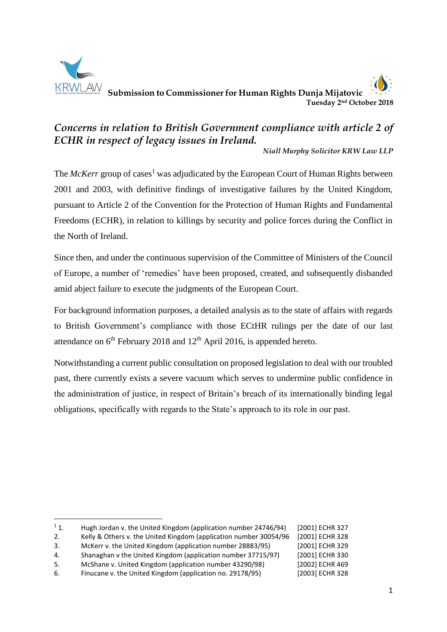

**.** 

 **Submission to Commissioner for Human Rights Dunja Mijatovic Tuesday 2 nd October 2018**

# *Concerns in relation to British Government compliance with article 2 of ECHR in respect of legacy issues in Ireland.*

*Niall Murphy Solicitor KRW Law LLP*

The *McKerr* group of cases<sup>1</sup> was adjudicated by the European Court of Human Rights between 2001 and 2003, with definitive findings of investigative failures by the United Kingdom, pursuant to Article 2 of the Convention for the Protection of Human Rights and Fundamental Freedoms (ECHR), in relation to killings by security and police forces during the Conflict in the North of Ireland.

Since then, and under the continuous supervision of the Committee of Ministers of the Council of Europe, a number of 'remedies' have been proposed, created, and subsequently disbanded amid abject failure to execute the judgments of the European Court.

For background information purposes, a detailed analysis as to the state of affairs with regards to British Government's compliance with those ECtHR rulings per the date of our last attendance on  $6<sup>th</sup>$  February 2018 and  $12<sup>th</sup>$  April 2016, is appended hereto.

Notwithstanding a current public consultation on proposed legislation to deal with our troubled past, there currently exists a severe vacuum which serves to undermine public confidence in the administration of justice, in respect of Britain's breach of its internationally binding legal obligations, specifically with regards to the State's approach to its role in our past.

2. Kelly & Others v. the United Kingdom (application number 30054/96 [2001] ECHR 328

4. Shanaghan v the United Kingdom (application number 37715/97) [2001] ECHR 330

<sup>&</sup>lt;sup>1</sup> 1. Hugh Jordan v. the United Kingdom (application number 24746/94) [2001] ECHR 327

<sup>3.</sup> McKerr v. the United Kingdom (application number 28883/95) [2001] ECHR 329

<sup>5.</sup> McShane v. United Kingdom (application number 43290/98) [2002] ECHR 469

<sup>6.</sup> Finucane v. the United Kingdom (application no. 29178/95) [2003] ECHR 328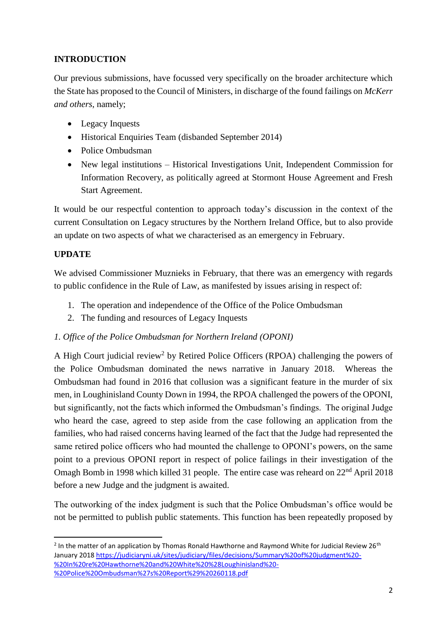# **INTRODUCTION**

Our previous submissions, have focussed very specifically on the broader architecture which the State has proposed to the Council of Ministers, in discharge of the found failings on *McKerr and others*, namely;

- Legacy Inquests
- Historical Enquiries Team (disbanded September 2014)
- Police Ombudsman
- New legal institutions Historical Investigations Unit, Independent Commission for Information Recovery, as politically agreed at Stormont House Agreement and Fresh Start Agreement.

It would be our respectful contention to approach today's discussion in the context of the current Consultation on Legacy structures by the Northern Ireland Office, but to also provide an update on two aspects of what we characterised as an emergency in February.

# **UPDATE**

**.** 

We advised Commissioner Muznieks in February, that there was an emergency with regards to public confidence in the Rule of Law, as manifested by issues arising in respect of:

- 1. The operation and independence of the Office of the Police Ombudsman
- 2. The funding and resources of Legacy Inquests
- *1. Office of the Police Ombudsman for Northern Ireland (OPONI)*

A High Court judicial review<sup>2</sup> by Retired Police Officers (RPOA) challenging the powers of the Police Ombudsman dominated the news narrative in January 2018. Whereas the Ombudsman had found in 2016 that collusion was a significant feature in the murder of six men, in Loughinisland County Down in 1994, the RPOA challenged the powers of the OPONI, but significantly, not the facts which informed the Ombudsman's findings. The original Judge who heard the case, agreed to step aside from the case following an application from the families, who had raised concerns having learned of the fact that the Judge had represented the same retired police officers who had mounted the challenge to OPONI's powers, on the same point to a previous OPONI report in respect of police failings in their investigation of the Omagh Bomb in 1998 which killed 31 people. The entire case was reheard on 22<sup>nd</sup> April 2018 before a new Judge and the judgment is awaited.

The outworking of the index judgment is such that the Police Ombudsman's office would be not be permitted to publish public statements. This function has been repeatedly proposed by

<sup>&</sup>lt;sup>2</sup> In the matter of an application by Thomas Ronald Hawthorne and Raymond White for Judicial Review 26<sup>th</sup> January 2018 [https://judiciaryni.uk/sites/judiciary/files/decisions/Summary%20of%20judgment%20-](https://judiciaryni.uk/sites/judiciary/files/decisions/Summary%20of%20judgment%20-%20In%20re%20Hawthorne%20and%20White%20%28Loughinisland%20-%20Police%20Ombudsman%27s%20Report%29%20260118.pdf) [%20In%20re%20Hawthorne%20and%20White%20%28Loughinisland%20-](https://judiciaryni.uk/sites/judiciary/files/decisions/Summary%20of%20judgment%20-%20In%20re%20Hawthorne%20and%20White%20%28Loughinisland%20-%20Police%20Ombudsman%27s%20Report%29%20260118.pdf) [%20Police%20Ombudsman%27s%20Report%29%20260118.pdf](https://judiciaryni.uk/sites/judiciary/files/decisions/Summary%20of%20judgment%20-%20In%20re%20Hawthorne%20and%20White%20%28Loughinisland%20-%20Police%20Ombudsman%27s%20Report%29%20260118.pdf)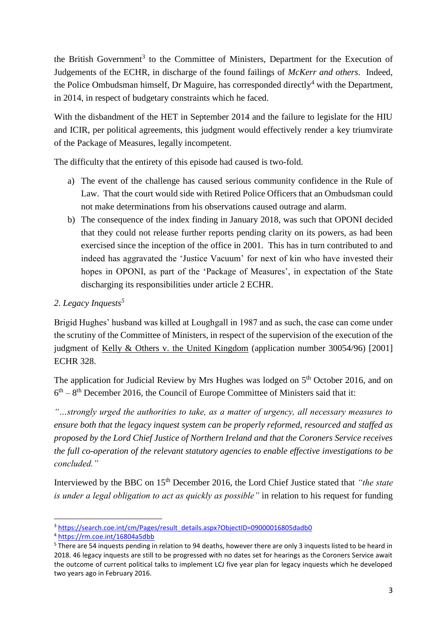the British Government<sup>3</sup> to the Committee of Ministers, Department for the Execution of Judgements of the ECHR, in discharge of the found failings of *McKerr and others*. Indeed, the Police Ombudsman himself, Dr Maguire, has corresponded directly<sup>4</sup> with the Department, in 2014, in respect of budgetary constraints which he faced.

With the disbandment of the HET in September 2014 and the failure to legislate for the HIU and ICIR, per political agreements, this judgment would effectively render a key triumvirate of the Package of Measures, legally incompetent.

The difficulty that the entirety of this episode had caused is two-fold.

- a) The event of the challenge has caused serious community confidence in the Rule of Law. That the court would side with Retired Police Officers that an Ombudsman could not make determinations from his observations caused outrage and alarm.
- b) The consequence of the index finding in January 2018, was such that OPONI decided that they could not release further reports pending clarity on its powers, as had been exercised since the inception of the office in 2001. This has in turn contributed to and indeed has aggravated the 'Justice Vacuum' for next of kin who have invested their hopes in OPONI, as part of the 'Package of Measures', in expectation of the State discharging its responsibilities under article 2 ECHR.

# *2. Legacy Inquests<sup>5</sup>*

Brigid Hughes' husband was killed at Loughgall in 1987 and as such, the case can come under the scrutiny of the Committee of Ministers, in respect of the supervision of the execution of the judgment of <u>Kelly & Others v. the United Kingdom</u> (application number 30054/96) [2001] ECHR 328.

The application for Judicial Review by Mrs Hughes was lodged on 5<sup>th</sup> October 2016, and on  $6<sup>th</sup> - 8<sup>th</sup>$  December 2016, the Council of Europe Committee of Ministers said that it:

*"…strongly urged the authorities to take, as a matter of urgency, all necessary measures to ensure both that the legacy inquest system can be properly reformed, resourced and staffed as proposed by the Lord Chief Justice of Northern Ireland and that the Coroners Service receives the full co-operation of the relevant statutory agencies to enable effective investigations to be concluded."*

Interviewed by the BBC on 15th December 2016, the Lord Chief Justice stated that *"the state is under a legal obligation to act as quickly as possible"* in relation to his request for funding

**<sup>.</sup>** <sup>3</sup> [https://search.coe.int/cm/Pages/result\\_details.aspx?ObjectID=09000016805dadb0](https://search.coe.int/cm/Pages/result_details.aspx?ObjectID=09000016805dadb0)

<sup>4</sup> <https://rm.coe.int/16804a5dbb>

<sup>&</sup>lt;sup>5</sup> There are 54 inquests pending in relation to 94 deaths, however there are only 3 inquests listed to be heard in 2018. 46 legacy inquests are still to be progressed with no dates set for hearings as the Coroners Service await the outcome of current political talks to implement LCJ five year plan for legacy inquests which he developed two years ago in February 2016.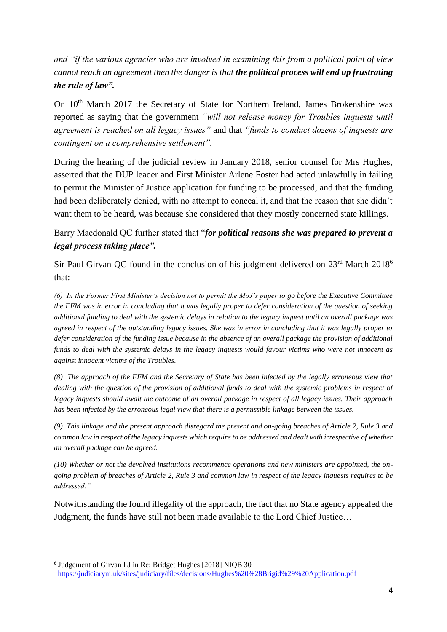*and "if the various agencies who are involved in examining this from a political point of view cannot reach an agreement then the danger is that the political process will end up frustrating the rule of law".*

On 10<sup>th</sup> March 2017 the Secretary of State for Northern Ireland, James Brokenshire was reported as saying that the government *"will not release money for Troubles inquests until agreement is reached on all legacy issues"* and that *"funds to conduct dozens of inquests are contingent on a comprehensive settlement".*

During the hearing of the judicial review in January 2018, senior counsel for Mrs Hughes, asserted that the DUP leader and First Minister Arlene Foster had acted unlawfully in failing to permit the Minister of Justice application for funding to be processed, and that the funding had been deliberately denied, with no attempt to conceal it, and that the reason that she didn't want them to be heard, was because she considered that they mostly concerned state killings.

# Barry Macdonald QC further stated that "*for political reasons she was prepared to prevent a legal process taking place".*

Sir Paul Girvan QC found in the conclusion of his judgment delivered on 23<sup>rd</sup> March 2018<sup>6</sup> that:

*(6) In the Former First Minister's decision not to permit the MoJ's paper to go before the Executive Committee the FFM was in error in concluding that it was legally proper to defer consideration of the question of seeking additional funding to deal with the systemic delays in relation to the legacy inquest until an overall package was agreed in respect of the outstanding legacy issues. She was in error in concluding that it was legally proper to defer consideration of the funding issue because in the absence of an overall package the provision of additional funds to deal with the systemic delays in the legacy inquests would favour victims who were not innocent as against innocent victims of the Troubles.*

*(8) The approach of the FFM and the Secretary of State has been infected by the legally erroneous view that dealing with the question of the provision of additional funds to deal with the systemic problems in respect of legacy inquests should await the outcome of an overall package in respect of all legacy issues. Their approach has been infected by the erroneous legal view that there is a permissible linkage between the issues.*

*(9) This linkage and the present approach disregard the present and on-going breaches of Article 2, Rule 3 and common law in respect of the legacy inquests which require to be addressed and dealt with irrespective of whether an overall package can be agreed.*

*(10) Whether or not the devolved institutions recommence operations and new ministers are appointed, the ongoing problem of breaches of Article 2, Rule 3 and common law in respect of the legacy inquests requires to be addressed."*

Notwithstanding the found illegality of the approach, the fact that no State agency appealed the Judgment, the funds have still not been made available to the Lord Chief Justice…

**<sup>.</sup>** 6 Judgement of Girvan LJ in Re: Bridget Hughes [2018] NIQB 30 <https://judiciaryni.uk/sites/judiciary/files/decisions/Hughes%20%28Brigid%29%20Application.pdf>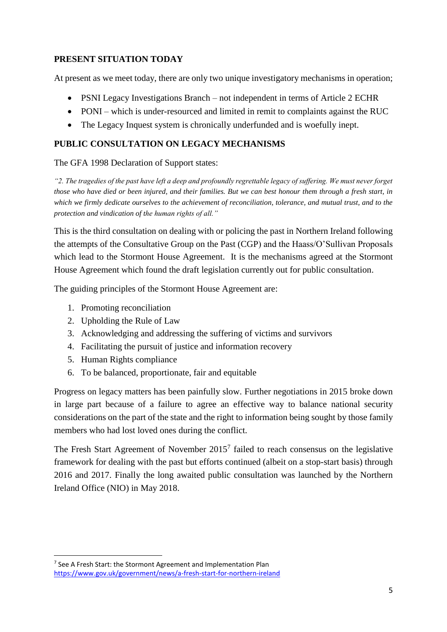### **PRESENT SITUATION TODAY**

At present as we meet today, there are only two unique investigatory mechanisms in operation;

- PSNI Legacy Investigations Branch not independent in terms of Article 2 ECHR
- PONI which is under-resourced and limited in remit to complaints against the RUC
- The Legacy Inquest system is chronically underfunded and is woefully inept.

### **PUBLIC CONSULTATION ON LEGACY MECHANISMS**

#### The GFA 1998 Declaration of Support states:

*"2. The tragedies of the past have left a deep and profoundly regrettable legacy of suffering. We must never forget those who have died or been injured, and their families. But we can best honour them through a fresh start, in which we firmly dedicate ourselves to the achievement of reconciliation, tolerance, and mutual trust, and to the protection and vindication of the human rights of all."* 

This is the third consultation on dealing with or policing the past in Northern Ireland following the attempts of the Consultative Group on the Past (CGP) and the Haass/O'Sullivan Proposals which lead to the Stormont House Agreement. It is the mechanisms agreed at the Stormont House Agreement which found the draft legislation currently out for public consultation.

The guiding principles of the Stormont House Agreement are:

- 1. Promoting reconciliation
- 2. Upholding the Rule of Law
- 3. Acknowledging and addressing the suffering of victims and survivors
- 4. Facilitating the pursuit of justice and information recovery
- 5. Human Rights compliance

**.** 

6. To be balanced, proportionate, fair and equitable

Progress on legacy matters has been painfully slow. Further negotiations in 2015 broke down in large part because of a failure to agree an effective way to balance national security considerations on the part of the state and the right to information being sought by those family members who had lost loved ones during the conflict.

The Fresh Start Agreement of November  $2015<sup>7</sup>$  failed to reach consensus on the legislative framework for dealing with the past but efforts continued (albeit on a stop-start basis) through 2016 and 2017. Finally the long awaited public consultation was launched by the Northern Ireland Office (NIO) in May 2018.

<sup>&</sup>lt;sup>7</sup> See A Fresh Start: the Stormont Agreement and Implementation Plan <https://www.gov.uk/government/news/a-fresh-start-for-northern-ireland>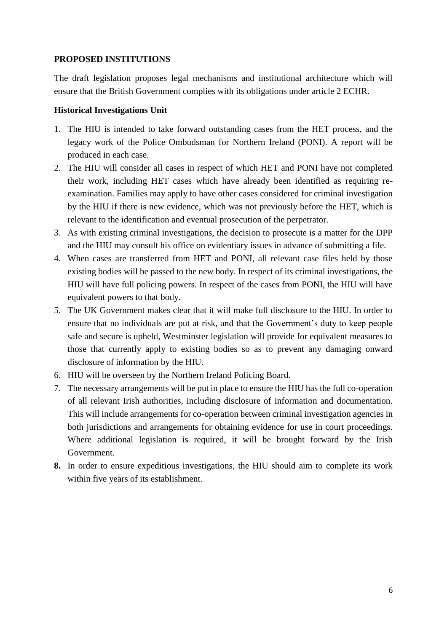#### **PROPOSED INSTITUTIONS**

The draft legislation proposes legal mechanisms and institutional architecture which will ensure that the British Government complies with its obligations under article 2 ECHR.

#### **Historical Investigations Unit**

- 1. The HIU is intended to take forward outstanding cases from the HET process, and the legacy work of the Police Ombudsman for Northern Ireland (PONI). A report will be produced in each case.
- 2. The HIU will consider all cases in respect of which HET and PONI have not completed their work, including HET cases which have already been identified as requiring reexamination. Families may apply to have other cases considered for criminal investigation by the HIU if there is new evidence, which was not previously before the HET, which is relevant to the identification and eventual prosecution of the perpetrator.
- 3. As with existing criminal investigations, the decision to prosecute is a matter for the DPP and the HIU may consult his office on evidentiary issues in advance of submitting a file.
- 4. When cases are transferred from HET and PONI, all relevant case files held by those existing bodies will be passed to the new body. In respect of its criminal investigations, the HIU will have full policing powers. In respect of the cases from PONI, the HIU will have equivalent powers to that body.
- 5. The UK Government makes clear that it will make full disclosure to the HIU. In order to ensure that no individuals are put at risk, and that the Government's duty to keep people safe and secure is upheld, Westminster legislation will provide for equivalent measures to those that currently apply to existing bodies so as to prevent any damaging onward disclosure of information by the HIU.
- 6. HIU will be overseen by the Northern Ireland Policing Board.
- 7. The necessary arrangements will be put in place to ensure the HIU has the full co-operation of all relevant Irish authorities, including disclosure of information and documentation. This will include arrangements for co-operation between criminal investigation agencies in both jurisdictions and arrangements for obtaining evidence for use in court proceedings. Where additional legislation is required, it will be brought forward by the Irish Government.
- **8.** In order to ensure expeditious investigations, the HIU should aim to complete its work within five years of its establishment.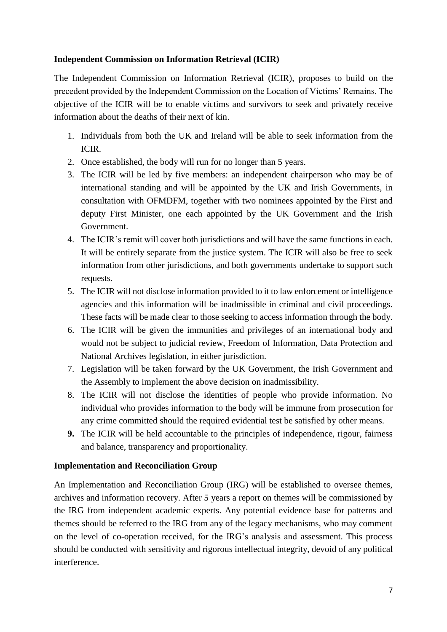#### **Independent Commission on Information Retrieval (ICIR)**

The Independent Commission on Information Retrieval (ICIR), proposes to build on the precedent provided by the Independent Commission on the Location of Victims' Remains. The objective of the ICIR will be to enable victims and survivors to seek and privately receive information about the deaths of their next of kin.

- 1. Individuals from both the UK and Ireland will be able to seek information from the ICIR.
- 2. Once established, the body will run for no longer than 5 years.
- 3. The ICIR will be led by five members: an independent chairperson who may be of international standing and will be appointed by the UK and Irish Governments, in consultation with OFMDFM, together with two nominees appointed by the First and deputy First Minister, one each appointed by the UK Government and the Irish Government.
- 4. The ICIR's remit will cover both jurisdictions and will have the same functions in each. It will be entirely separate from the justice system. The ICIR will also be free to seek information from other jurisdictions, and both governments undertake to support such requests.
- 5. The ICIR will not disclose information provided to it to law enforcement or intelligence agencies and this information will be inadmissible in criminal and civil proceedings. These facts will be made clear to those seeking to access information through the body.
- 6. The ICIR will be given the immunities and privileges of an international body and would not be subject to judicial review, Freedom of Information, Data Protection and National Archives legislation, in either jurisdiction.
- 7. Legislation will be taken forward by the UK Government, the Irish Government and the Assembly to implement the above decision on inadmissibility.
- 8. The ICIR will not disclose the identities of people who provide information. No individual who provides information to the body will be immune from prosecution for any crime committed should the required evidential test be satisfied by other means.
- **9.** The ICIR will be held accountable to the principles of independence, rigour, fairness and balance, transparency and proportionality.

# **Implementation and Reconciliation Group**

An Implementation and Reconciliation Group (IRG) will be established to oversee themes, archives and information recovery. After 5 years a report on themes will be commissioned by the IRG from independent academic experts. Any potential evidence base for patterns and themes should be referred to the IRG from any of the legacy mechanisms, who may comment on the level of co-operation received, for the IRG's analysis and assessment. This process should be conducted with sensitivity and rigorous intellectual integrity, devoid of any political interference.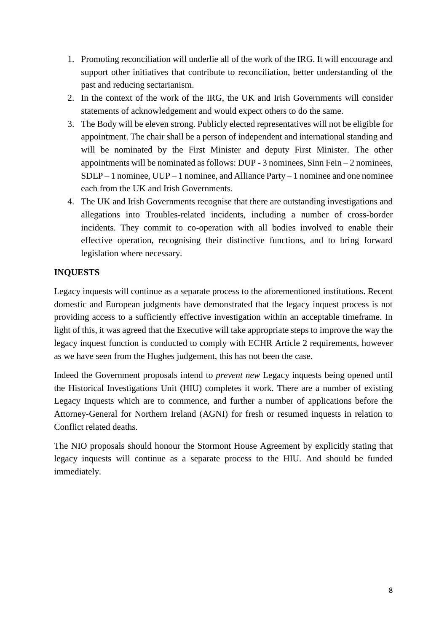- 1. Promoting reconciliation will underlie all of the work of the IRG. It will encourage and support other initiatives that contribute to reconciliation, better understanding of the past and reducing sectarianism.
- 2. In the context of the work of the IRG, the UK and Irish Governments will consider statements of acknowledgement and would expect others to do the same.
- 3. The Body will be eleven strong. Publicly elected representatives will not be eligible for appointment. The chair shall be a person of independent and international standing and will be nominated by the First Minister and deputy First Minister. The other appointments will be nominated as follows: DUP - 3 nominees, Sinn Fein – 2 nominees,  $SDLP-1$  nominee,  $UUP-1$  nominee, and Alliance Party – 1 nominee and one nominee each from the UK and Irish Governments.
- 4. The UK and Irish Governments recognise that there are outstanding investigations and allegations into Troubles-related incidents, including a number of cross-border incidents. They commit to co-operation with all bodies involved to enable their effective operation, recognising their distinctive functions, and to bring forward legislation where necessary.

# **INQUESTS**

Legacy inquests will continue as a separate process to the aforementioned institutions. Recent domestic and European judgments have demonstrated that the legacy inquest process is not providing access to a sufficiently effective investigation within an acceptable timeframe. In light of this, it was agreed that the Executive will take appropriate steps to improve the way the legacy inquest function is conducted to comply with ECHR Article 2 requirements, however as we have seen from the Hughes judgement, this has not been the case.

Indeed the Government proposals intend to *prevent new* Legacy inquests being opened until the Historical Investigations Unit (HIU) completes it work. There are a number of existing Legacy Inquests which are to commence, and further a number of applications before the Attorney-General for Northern Ireland (AGNI) for fresh or resumed inquests in relation to Conflict related deaths.

The NIO proposals should honour the Stormont House Agreement by explicitly stating that legacy inquests will continue as a separate process to the HIU. And should be funded immediately.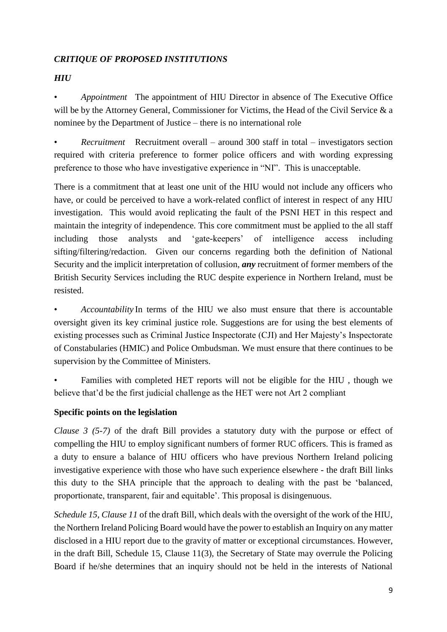### *CRITIQUE OF PROPOSED INSTITUTIONS*

# *HIU*

• *Appointment* The appointment of HIU Director in absence of The Executive Office will be by the Attorney General, Commissioner for Victims, the Head of the Civil Service & a nominee by the Department of Justice – there is no international role

• *Recruitment* Recruitment overall – around 300 staff in total – investigators section required with criteria preference to former police officers and with wording expressing preference to those who have investigative experience in "NI". This is unacceptable.

There is a commitment that at least one unit of the HIU would not include any officers who have, or could be perceived to have a work-related conflict of interest in respect of any HIU investigation. This would avoid replicating the fault of the PSNI HET in this respect and maintain the integrity of independence. This core commitment must be applied to the all staff including those analysts and 'gate-keepers' of intelligence access including sifting/filtering/redaction. Given our concerns regarding both the definition of National Security and the implicit interpretation of collusion, *any* recruitment of former members of the British Security Services including the RUC despite experience in Northern Ireland, must be resisted.

• *Accountability* In terms of the HIU we also must ensure that there is accountable oversight given its key criminal justice role. Suggestions are for using the best elements of existing processes such as Criminal Justice Inspectorate (CJI) and Her Majesty's Inspectorate of Constabularies (HMIC) and Police Ombudsman. We must ensure that there continues to be supervision by the Committee of Ministers.

• Families with completed HET reports will not be eligible for the HIU , though we believe that'd be the first judicial challenge as the HET were not Art 2 compliant

# **Specific points on the legislation**

*Clause 3 (5-7)* of the draft Bill provides a statutory duty with the purpose or effect of compelling the HIU to employ significant numbers of former RUC officers. This is framed as a duty to ensure a balance of HIU officers who have previous Northern Ireland policing investigative experience with those who have such experience elsewhere - the draft Bill links this duty to the SHA principle that the approach to dealing with the past be 'balanced, proportionate, transparent, fair and equitable'. This proposal is disingenuous.

*Schedule 15, Clause 11* of the draft Bill, which deals with the oversight of the work of the HIU, the Northern Ireland Policing Board would have the power to establish an Inquiry on any matter disclosed in a HIU report due to the gravity of matter or exceptional circumstances. However, in the draft Bill, Schedule 15, Clause 11(3), the Secretary of State may overrule the Policing Board if he/she determines that an inquiry should not be held in the interests of National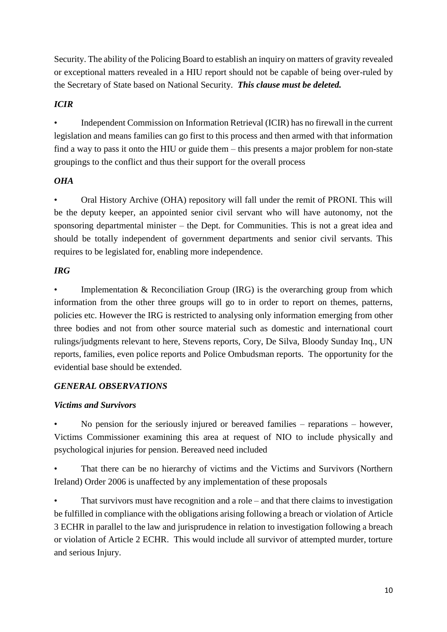Security. The ability of the Policing Board to establish an inquiry on matters of gravity revealed or exceptional matters revealed in a HIU report should not be capable of being over-ruled by the Secretary of State based on National Security. *This clause must be deleted.*

# *ICIR*

• Independent Commission on Information Retrieval (ICIR) has no firewall in the current legislation and means families can go first to this process and then armed with that information find a way to pass it onto the HIU or guide them – this presents a major problem for non-state groupings to the conflict and thus their support for the overall process

# *OHA*

• Oral History Archive (OHA) repository will fall under the remit of PRONI. This will be the deputy keeper, an appointed senior civil servant who will have autonomy, not the sponsoring departmental minister – the Dept. for Communities. This is not a great idea and should be totally independent of government departments and senior civil servants. This requires to be legislated for, enabling more independence.

# *IRG*

Implementation  $&$  Reconciliation Group (IRG) is the overarching group from which information from the other three groups will go to in order to report on themes, patterns, policies etc. However the IRG is restricted to analysing only information emerging from other three bodies and not from other source material such as domestic and international court rulings/judgments relevant to here, Stevens reports, Cory, De Silva, Bloody Sunday Inq., UN reports, families, even police reports and Police Ombudsman reports. The opportunity for the evidential base should be extended.

# *GENERAL OBSERVATIONS*

# *Victims and Survivors*

• No pension for the seriously injured or bereaved families – reparations – however, Victims Commissioner examining this area at request of NIO to include physically and psychological injuries for pension. Bereaved need included

• That there can be no hierarchy of victims and the Victims and Survivors (Northern Ireland) Order 2006 is unaffected by any implementation of these proposals

• That survivors must have recognition and a role – and that there claims to investigation be fulfilled in compliance with the obligations arising following a breach or violation of Article 3 ECHR in parallel to the law and jurisprudence in relation to investigation following a breach or violation of Article 2 ECHR. This would include all survivor of attempted murder, torture and serious Injury.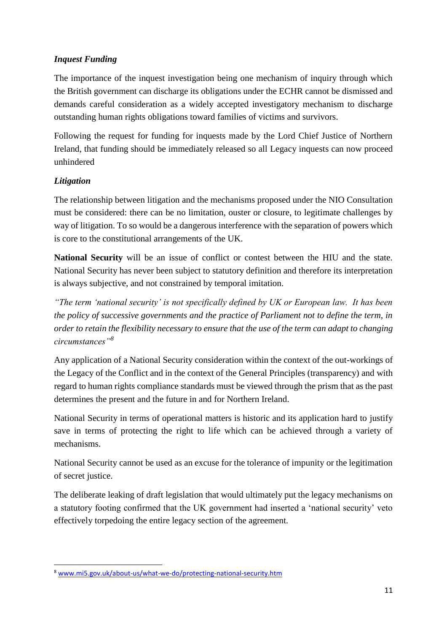# *Inquest Funding*

The importance of the inquest investigation being one mechanism of inquiry through which the British government can discharge its obligations under the ECHR cannot be dismissed and demands careful consideration as a widely accepted investigatory mechanism to discharge outstanding human rights obligations toward families of victims and survivors.

Following the request for funding for inquests made by the Lord Chief Justice of Northern Ireland, that funding should be immediately released so all Legacy inquests can now proceed unhindered

# *Litigation*

**.** 

The relationship between litigation and the mechanisms proposed under the NIO Consultation must be considered: there can be no limitation, ouster or closure, to legitimate challenges by way of litigation. To so would be a dangerous interference with the separation of powers which is core to the constitutional arrangements of the UK.

**National Security** will be an issue of conflict or contest between the HIU and the state. National Security has never been subject to statutory definition and therefore its interpretation is always subjective, and not constrained by temporal imitation.

*"The term 'national security' is not specifically defined by UK or European law. It has been the policy of successive governments and the practice of Parliament not to define the term, in order to retain the flexibility necessary to ensure that the use of the term can adapt to changing circumstances"<sup>8</sup>*

Any application of a National Security consideration within the context of the out-workings of the Legacy of the Conflict and in the context of the General Principles (transparency) and with regard to human rights compliance standards must be viewed through the prism that as the past determines the present and the future in and for Northern Ireland.

National Security in terms of operational matters is historic and its application hard to justify save in terms of protecting the right to life which can be achieved through a variety of mechanisms.

National Security cannot be used as an excuse for the tolerance of impunity or the legitimation of secret justice.

The deliberate leaking of draft legislation that would ultimately put the legacy mechanisms on a statutory footing confirmed that the UK government had inserted a 'national security' veto effectively torpedoing the entire legacy section of the agreement.

<sup>8</sup> [www.mi5.gov.uk/about-us/what-we-do/protecting-national-security.htm](http://www.mi5.gov.uk/about-us/what-we-do/protecting-national-security.htm)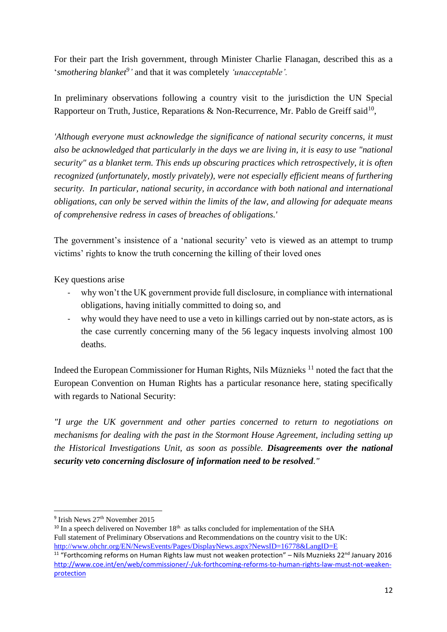For their part the Irish government, through Minister Charlie Flanagan, described this as a 'smothering blanket<sup>9</sup>' and that it was completely 'unacceptable'.

In preliminary observations following a country visit to the jurisdiction the UN Special Rapporteur on Truth, Justice, Reparations & Non-Recurrence, Mr. Pablo de Greiff said<sup>10</sup>,

*'Although everyone must acknowledge the significance of national security concerns, it must also be acknowledged that particularly in the days we are living in, it is easy to use "national security" as a blanket term. This ends up obscuring practices which retrospectively, it is often recognized (unfortunately, mostly privately), were not especially efficient means of furthering security. In particular, national security, in accordance with both national and international obligations, can only be served within the limits of the law, and allowing for adequate means of comprehensive redress in cases of breaches of obligations.'*

The government's insistence of a 'national security' veto is viewed as an attempt to trump victims' rights to know the truth concerning the killing of their loved ones

Key questions arise

- why won't the UK government provide full disclosure, in compliance with international obligations, having initially committed to doing so, and
- why would they have need to use a veto in killings carried out by non-state actors, as is the case currently concerning many of the 56 legacy inquests involving almost 100 deaths.

Indeed the European Commissioner for Human Rights, Nils Müznieks <sup>11</sup> noted the fact that the European Convention on Human Rights has a particular resonance here, stating specifically with regards to National Security:

*"I urge the UK government and other parties concerned to return to negotiations on mechanisms for dealing with the past in the Stormont House Agreement, including setting up the Historical Investigations Unit, as soon as possible. Disagreements over the national security veto concerning disclosure of information need to be resolved."*

1

<sup>&</sup>lt;sup>9</sup> Irish News 27<sup>th</sup> November 2015

 $10$  In a speech delivered on November  $18<sup>th</sup>$  as talks concluded for implementation of the SHA Full statement of Preliminary Observations and Recommendations on the country visit to the UK: <http://www.ohchr.org/EN/NewsEvents/Pages/DisplayNews.aspx?NewsID=16778&LangID=E>

 $11$  "Forthcoming reforms on Human Rights law must not weaken protection" – Nils Muznieks 22<sup>nd</sup> January 2016 [http://www.coe.int/en/web/commissioner/-/uk-forthcoming-reforms-to-human-rights-law-must-not-weaken](http://www.coe.int/en/web/commissioner/-/uk-forthcoming-reforms-to-human-rights-law-must-not-weaken-protection)[protection](http://www.coe.int/en/web/commissioner/-/uk-forthcoming-reforms-to-human-rights-law-must-not-weaken-protection)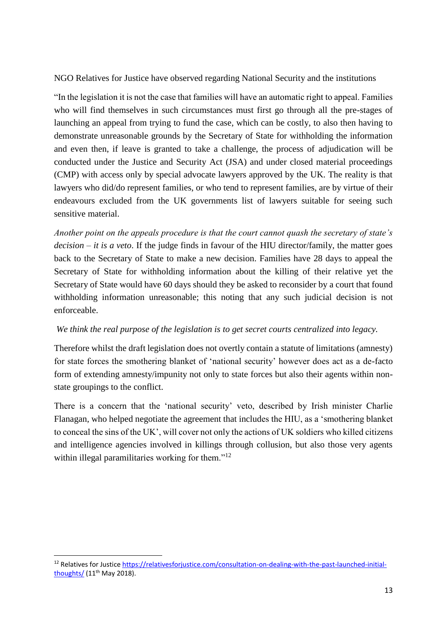NGO Relatives for Justice have observed regarding National Security and the institutions

"In the legislation it is not the case that families will have an automatic right to appeal. Families who will find themselves in such circumstances must first go through all the pre-stages of launching an appeal from trying to fund the case, which can be costly, to also then having to demonstrate unreasonable grounds by the Secretary of State for withholding the information and even then, if leave is granted to take a challenge, the process of adjudication will be conducted under the Justice and Security Act (JSA) and under closed material proceedings (CMP) with access only by special advocate lawyers approved by the UK. The reality is that lawyers who did/do represent families, or who tend to represent families, are by virtue of their endeavours excluded from the UK governments list of lawyers suitable for seeing such sensitive material.

*Another point on the appeals procedure is that the court cannot quash the secretary of state's decision – it is a veto*. If the judge finds in favour of the HIU director/family, the matter goes back to the Secretary of State to make a new decision. Families have 28 days to appeal the Secretary of State for withholding information about the killing of their relative yet the Secretary of State would have 60 days should they be asked to reconsider by a court that found withholding information unreasonable; this noting that any such judicial decision is not enforceable.

# *We think the real purpose of the legislation is to get secret courts centralized into legacy.*

Therefore whilst the draft legislation does not overtly contain a statute of limitations (amnesty) for state forces the smothering blanket of 'national security' however does act as a de-facto form of extending amnesty/impunity not only to state forces but also their agents within nonstate groupings to the conflict.

There is a concern that the 'national security' veto, described by Irish minister Charlie Flanagan, who helped negotiate the agreement that includes the HIU, as a 'smothering blanket to conceal the sins of the UK', will cover not only the actions of UK soldiers who killed citizens and intelligence agencies involved in killings through collusion, but also those very agents within illegal paramilitaries working for them."<sup>12</sup>

**.** 

<sup>12</sup> Relatives for Justice [https://relativesforjustice.com/consultation-on-dealing-with-the-past-launched-initial](https://relativesforjustice.com/consultation-on-dealing-with-the-past-launched-initial-thoughts/)[thoughts/](https://relativesforjustice.com/consultation-on-dealing-with-the-past-launched-initial-thoughts/) (11th May 2018).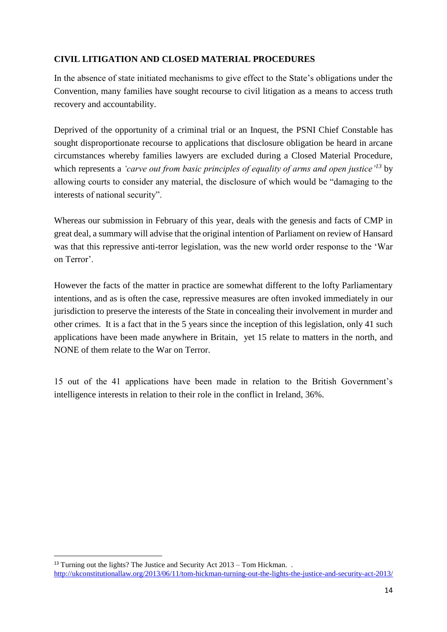# **CIVIL LITIGATION AND CLOSED MATERIAL PROCEDURES**

In the absence of state initiated mechanisms to give effect to the State's obligations under the Convention, many families have sought recourse to civil litigation as a means to access truth recovery and accountability.

Deprived of the opportunity of a criminal trial or an Inquest, the PSNI Chief Constable has sought disproportionate recourse to applications that disclosure obligation be heard in arcane circumstances whereby families lawyers are excluded during a Closed Material Procedure, which represents a *'carve out from basic principles of equality of arms and open justice'<sup>13</sup>* by allowing courts to consider any material, the disclosure of which would be "damaging to the interests of national security".

Whereas our submission in February of this year, deals with the genesis and facts of CMP in great deal, a summary will advise that the original intention of Parliament on review of Hansard was that this repressive anti-terror legislation, was the new world order response to the 'War on Terror'.

However the facts of the matter in practice are somewhat different to the lofty Parliamentary intentions, and as is often the case, repressive measures are often invoked immediately in our jurisdiction to preserve the interests of the State in concealing their involvement in murder and other crimes. It is a fact that in the 5 years since the inception of this legislation, only 41 such applications have been made anywhere in Britain, yet 15 relate to matters in the north, and NONE of them relate to the War on Terror.

15 out of the 41 applications have been made in relation to the British Government's intelligence interests in relation to their role in the conflict in Ireland, 36%.

**.** 

<sup>&</sup>lt;sup>13</sup> Turning out the lights? The Justice and Security Act  $2013 -$ Tom Hickman. . <http://ukconstitutionallaw.org/2013/06/11/tom-hickman-turning-out-the-lights-the-justice-and-security-act-2013/>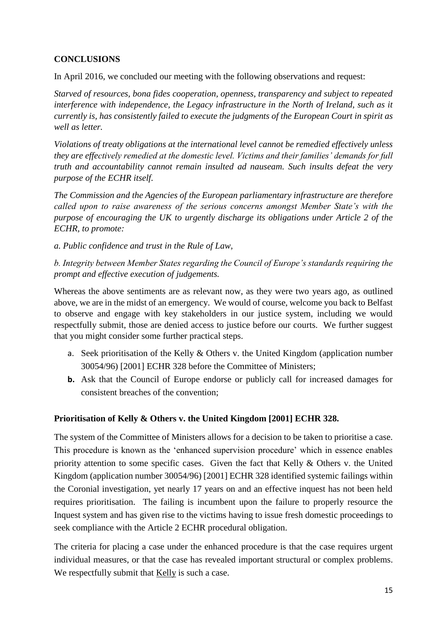# **CONCLUSIONS**

In April 2016, we concluded our meeting with the following observations and request:

*Starved of resources, bona fides cooperation, openness, transparency and subject to repeated interference with independence, the Legacy infrastructure in the North of Ireland, such as it currently is, has consistently failed to execute the judgments of the European Court in spirit as well as letter.* 

*Violations of treaty obligations at the international level cannot be remedied effectively unless they are effectively remedied at the domestic level. Victims and their families' demands for full truth and accountability cannot remain insulted ad nauseam. Such insults defeat the very purpose of the ECHR itself.*

*The Commission and the Agencies of the European parliamentary infrastructure are therefore called upon to raise awareness of the serious concerns amongst Member State's with the purpose of encouraging the UK to urgently discharge its obligations under Article 2 of the ECHR, to promote:*

*a. Public confidence and trust in the Rule of Law,* 

*b. Integrity between Member States regarding the Council of Europe's standards requiring the prompt and effective execution of judgements.*

Whereas the above sentiments are as relevant now, as they were two years ago, as outlined above, we are in the midst of an emergency. We would of course, welcome you back to Belfast to observe and engage with key stakeholders in our justice system, including we would respectfully submit, those are denied access to justice before our courts. We further suggest that you might consider some further practical steps.

- a. Seek prioritisation of the Kelly & Others v. the United Kingdom (application number 30054/96) [2001] ECHR 328 before the Committee of Ministers;
- **b.** Ask that the Council of Europe endorse or publicly call for increased damages for consistent breaches of the convention;

# **Prioritisation of Kelly & Others v. the United Kingdom [2001] ECHR 328.**

The system of the Committee of Ministers allows for a decision to be taken to prioritise a case. This procedure is known as the 'enhanced supervision procedure' which in essence enables priority attention to some specific cases. Given the fact that Kelly & Others v. the United Kingdom (application number 30054/96) [2001] ECHR 328 identified systemic failings within the Coronial investigation, yet nearly 17 years on and an effective inquest has not been held requires prioritisation. The failing is incumbent upon the failure to properly resource the Inquest system and has given rise to the victims having to issue fresh domestic proceedings to seek compliance with the Article 2 ECHR procedural obligation.

The criteria for placing a case under the enhanced procedure is that the case requires urgent individual measures, or that the case has revealed important structural or complex problems. We respectfully submit that Kelly is such a case.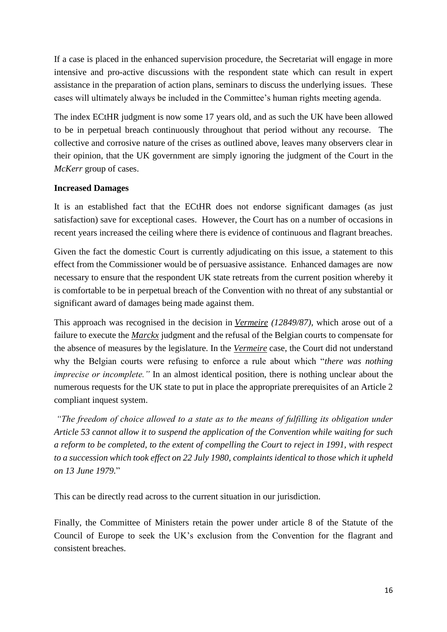If a case is placed in the enhanced supervision procedure, the Secretariat will engage in more intensive and pro-active discussions with the respondent state which can result in expert assistance in the preparation of action plans, seminars to discuss the underlying issues. These cases will ultimately always be included in the Committee's human rights meeting agenda.

The index ECtHR judgment is now some 17 years old, and as such the UK have been allowed to be in perpetual breach continuously throughout that period without any recourse. The collective and corrosive nature of the crises as outlined above, leaves many observers clear in their opinion, that the UK government are simply ignoring the judgment of the Court in the *McKerr* group of cases.

#### **Increased Damages**

It is an established fact that the ECtHR does not endorse significant damages (as just satisfaction) save for exceptional cases. However, the Court has on a number of occasions in recent years increased the ceiling where there is evidence of continuous and flagrant breaches.

Given the fact the domestic Court is currently adjudicating on this issue, a statement to this effect from the Commissioner would be of persuasive assistance. Enhanced damages are now necessary to ensure that the respondent UK state retreats from the current position whereby it is comfortable to be in perpetual breach of the Convention with no threat of any substantial or significant award of damages being made against them.

This approach was recognised in the decision in *Vermeire (12849/87)*, which arose out of a failure to execute the *Marckx* judgment and the refusal of the Belgian courts to compensate for the absence of measures by the legislature. In the *Vermeire* case, the Court did not understand why the Belgian courts were refusing to enforce a rule about which "*there was nothing imprecise or incomplete.*" In an almost identical position, there is nothing unclear about the numerous requests for the UK state to put in place the appropriate prerequisites of an Article 2 compliant inquest system.

*"The freedom of choice allowed to a state as to the means of fulfilling its obligation under Article 53 cannot allow it to suspend the application of the Convention while waiting for such a reform to be completed, to the extent of compelling the Court to reject in 1991, with respect to a succession which took effect on 22 July 1980, complaints identical to those which it upheld on 13 June 1979.*"

This can be directly read across to the current situation in our jurisdiction.

Finally, the Committee of Ministers retain the power under article 8 of the Statute of the Council of Europe to seek the UK's exclusion from the Convention for the flagrant and consistent breaches.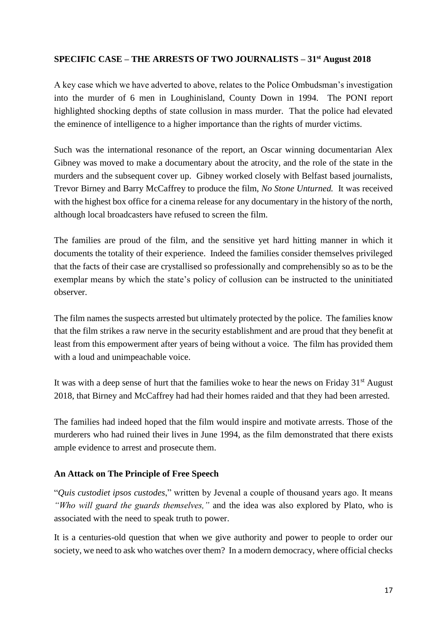#### **SPECIFIC CASE – THE ARRESTS OF TWO JOURNALISTS – 31st August 2018**

A key case which we have adverted to above, relates to the Police Ombudsman's investigation into the murder of 6 men in Loughinisland, County Down in 1994. The PONI report highlighted shocking depths of state collusion in mass murder. That the police had elevated the eminence of intelligence to a higher importance than the rights of murder victims.

Such was the international resonance of the report, an Oscar winning documentarian Alex Gibney was moved to make a documentary about the atrocity, and the role of the state in the murders and the subsequent cover up. Gibney worked closely with Belfast based journalists, Trevor Birney and Barry McCaffrey to produce the film, *No Stone Unturned.* It was received with the highest box office for a cinema release for any documentary in the history of the north, although local broadcasters have refused to screen the film.

The families are proud of the film, and the sensitive yet hard hitting manner in which it documents the totality of their experience. Indeed the families consider themselves privileged that the facts of their case are crystallised so professionally and comprehensibly so as to be the exemplar means by which the state's policy of collusion can be instructed to the uninitiated observer.

The film names the suspects arrested but ultimately protected by the police. The families know that the film strikes a raw nerve in the security establishment and are proud that they benefit at least from this empowerment after years of being without a voice. The film has provided them with a loud and unimpeachable voice.

It was with a deep sense of hurt that the families woke to hear the news on Friday  $31<sup>st</sup>$  August 2018, that Birney and McCaffrey had had their homes raided and that they had been arrested.

The families had indeed hoped that the film would inspire and motivate arrests. Those of the murderers who had ruined their lives in June 1994, as the film demonstrated that there exists ample evidence to arrest and prosecute them.

#### **An Attack on The Principle of Free Speech**

"*Quis custodiet ipsos custodes*," written by Jevenal a couple of thousand years ago. It means *"Who will guard the guards themselves,"* and the idea was also explored by Plato, who is associated with the need to speak truth to power.

It is a centuries-old question that when we give authority and power to people to order our society, we need to ask who watches over them? In a modern democracy, where official checks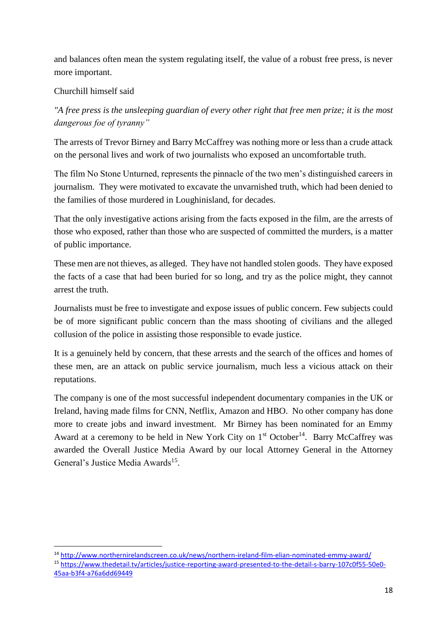and balances often mean the system regulating itself, the value of a robust free press, is never more important.

### Churchill himself said

**.** 

*"A free press is the unsleeping guardian of every other right that free men prize; it is the most dangerous foe of tyranny"* 

The arrests of Trevor Birney and Barry McCaffrey was nothing more or less than a crude attack on the personal lives and work of two journalists who exposed an uncomfortable truth.

The film No Stone Unturned, represents the pinnacle of the two men's distinguished careers in journalism. They were motivated to excavate the unvarnished truth, which had been denied to the families of those murdered in Loughinisland, for decades.

That the only investigative actions arising from the facts exposed in the film, are the arrests of those who exposed, rather than those who are suspected of committed the murders, is a matter of public importance.

These men are not thieves, as alleged. They have not handled stolen goods. They have exposed the facts of a case that had been buried for so long, and try as the police might, they cannot arrest the truth.

Journalists must be free to investigate and expose issues of public concern. Few subjects could be of more significant public concern than the mass shooting of civilians and the alleged collusion of the police in assisting those responsible to evade justice.

It is a genuinely held by concern, that these arrests and the search of the offices and homes of these men, are an attack on public service journalism, much less a vicious attack on their reputations.

The company is one of the most successful independent documentary companies in the UK or Ireland, having made films for CNN, Netflix, Amazon and HBO. No other company has done more to create jobs and inward investment. Mr Birney has been nominated for an Emmy Award at a ceremony to be held in New York City on  $1<sup>st</sup> October<sup>14</sup>$ . Barry McCaffrey was awarded the Overall Justice Media Award by our local Attorney General in the Attorney General's Justice Media Awards<sup>15</sup>.

<sup>14</sup> <http://www.northernirelandscreen.co.uk/news/northern-ireland-film-elian-nominated-emmy-award/> <sup>15</sup> [https://www.thedetail.tv/articles/justice-reporting-award-presented-to-the-detail-s-barry-107c0f55-50e0-](https://www.thedetail.tv/articles/justice-reporting-award-presented-to-the-detail-s-barry-107c0f55-50e0-45aa-b3f4-a76a6dd69449) [45aa-b3f4-a76a6dd69449](https://www.thedetail.tv/articles/justice-reporting-award-presented-to-the-detail-s-barry-107c0f55-50e0-45aa-b3f4-a76a6dd69449)